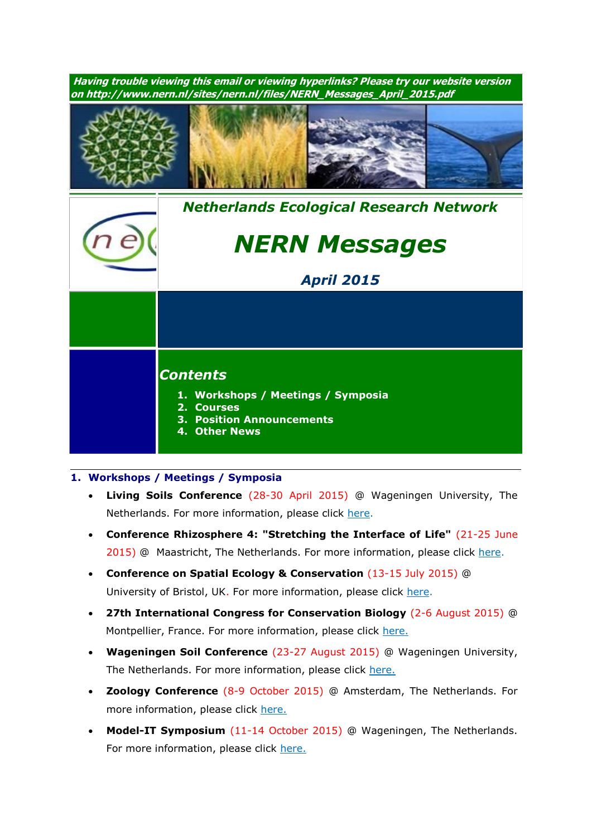**Having trouble viewing this email or viewing hyperlinks? Please try our website version on http://www.nern.nl/sites/nern.nl/files/NERN\_Messages\_April\_2015.pdf** *[Nethe](http://www.nern.nl/)rlands Ecological Research Network NERN Messages April 2015 Contents* **1. Workshops / Meetings / Symposia 2. Courses 3. Position Announcements 4. Other News**

## **1. Workshops / Meetings / Symposia**

- **Living Soils Conference** (28-30 April 2015) @ Wageningen University, The Netherlands. For more information, please click [here.](http://www.wageningenur.nl/nl/show/Registration-and-payment-Living-Soils-2830-April-2015.htm)
- **Conference Rhizosphere 4: "Stretching the Interface of Life"** (21-25 June 2015) @ Maastricht, The Netherlands. For more information, please click [here.](http://www.rhizo4.org/)
- **Conference on Spatial Ecology & Conservation** (13-15 July 2015) @ University of Bristol, UK. For more information, please click [here.](http://www.ert-conservation.co.uk/sec3_introduction.php)
- **27th International Congress for Conservation Biology** (2-6 August 2015) @ Montpellier, France. For more information, please click [here.](http://www.iccb-eccb2015.org/)
- **Wageningen Soil Conference** (23-27 August 2015) @ Wageningen University, The Netherlands. For more information, please click [here.](http://www.wageningenur.nl/en/Research-Results/Projects-and-programmes/Wageningen-Soil-Conference.htm)
- **Zoology Conference** (8-9 October 2015) @ Amsterdam, The Netherlands. For more information, please click [here.](http://www.zoology2015.nl/)
- **Model-IT Symposium** (11-14 October 2015) @ Wageningen, The Netherlands. For more information, please click [here.](http://www.model-it.info/)